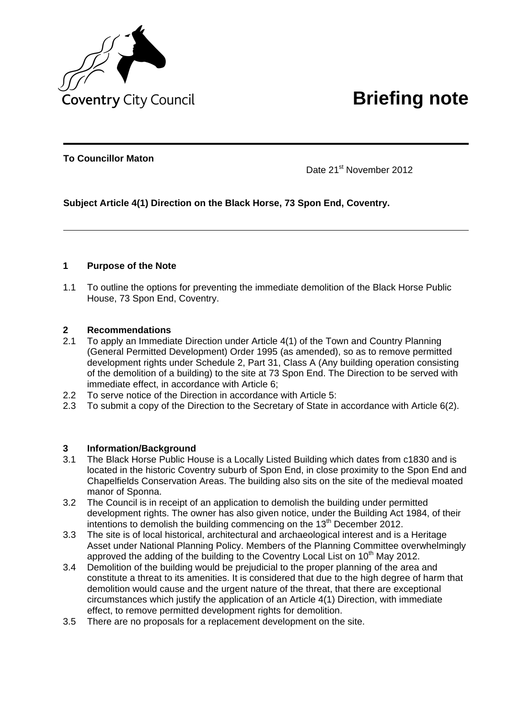

**To Councillor Maton**

Date 21<sup>st</sup> November 2012

# **Subject Article 4(1) Direction on the Black Horse, 73 Spon End, Coventry.**

## **1 Purpose of the Note**

1.1 To outline the options for preventing the immediate demolition of the Black Horse Public House, 73 Spon End, Coventry.

## **2 Recommendations**

- 2.1 To apply an Immediate Direction under Article 4(1) of the Town and Country Planning (General Permitted Development) Order 1995 (as amended), so as to remove permitted development rights under Schedule 2, Part 31, Class A (Any building operation consisting of the demolition of a building) to the site at 73 Spon End. The Direction to be served with immediate effect, in accordance with Article 6;
- 2.2 To serve notice of the Direction in accordance with Article 5:
- 2.3 To submit a copy of the Direction to the Secretary of State in accordance with Article 6(2).

## **3 Information/Background**

- 3.1 The Black Horse Public House is a Locally Listed Building which dates from c1830 and is located in the historic Coventry suburb of Spon End, in close proximity to the Spon End and Chapelfields Conservation Areas. The building also sits on the site of the medieval moated manor of Sponna.
- 3.2 The Council is in receipt of an application to demolish the building under permitted development rights. The owner has also given notice, under the Building Act 1984, of their intentions to demolish the building commencing on the 13<sup>th</sup> December 2012.
- 3.3 The site is of local historical, architectural and archaeological interest and is a Heritage Asset under National Planning Policy. Members of the Planning Committee overwhelmingly approved the adding of the building to the Coventry Local List on  $10<sup>th</sup>$  May 2012.
- 3.4 Demolition of the building would be prejudicial to the proper planning of the area and constitute a threat to its amenities. It is considered that due to the high degree of harm that demolition would cause and the urgent nature of the threat, that there are exceptional circumstances which justify the application of an Article 4(1) Direction, with immediate effect, to remove permitted development rights for demolition.
- 3.5 There are no proposals for a replacement development on the site.